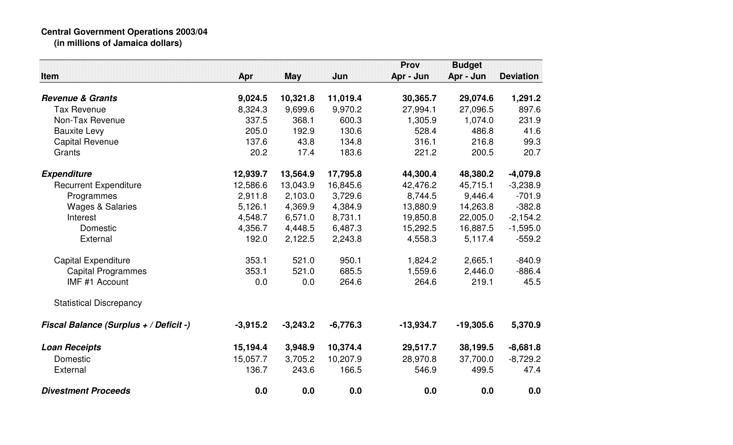## **Central Government Operations 2003/04 (in millions of Jamaica dollars)**

|                                               |            |            |            | <b>Prov</b> | <b>Budget</b> |                  |
|-----------------------------------------------|------------|------------|------------|-------------|---------------|------------------|
| Item                                          | Apr        | <b>May</b> | Jun        | Apr - Jun   | Apr - Jun     | <b>Deviation</b> |
|                                               |            |            |            |             |               |                  |
| <b>Revenue &amp; Grants</b>                   | 9,024.5    | 10,321.8   | 11,019.4   | 30,365.7    | 29,074.6      | 1,291.2          |
| <b>Tax Revenue</b>                            | 8,324.3    | 9,699.6    | 9,970.2    | 27,994.1    | 27,096.5      | 897.6            |
| Non-Tax Revenue                               | 337.5      | 368.1      | 600.3      | 1,305.9     | 1,074.0       | 231.9            |
| <b>Bauxite Levy</b>                           | 205.0      | 192.9      | 130.6      | 528.4       | 486.8         | 41.6             |
| <b>Capital Revenue</b>                        | 137.6      | 43.8       | 134.8      | 316.1       | 216.8         | 99.3             |
| Grants                                        | 20.2       | 17.4       | 183.6      | 221.2       | 200.5         | 20.7             |
| <b>Expenditure</b>                            | 12,939.7   | 13,564.9   | 17,795.8   | 44,300.4    | 48,380.2      | $-4,079.8$       |
| <b>Recurrent Expenditure</b>                  | 12,586.6   | 13,043.9   | 16,845.6   | 42,476.2    | 45,715.1      | $-3,238.9$       |
| Programmes                                    | 2,911.8    | 2,103.0    | 3,729.6    | 8,744.5     | 9,446.4       | $-701.9$         |
| <b>Wages &amp; Salaries</b>                   | 5,126.1    | 4,369.9    | 4,384.9    | 13,880.9    | 14,263.8      | $-382.8$         |
| Interest                                      | 4,548.7    | 6,571.0    | 8,731.1    | 19,850.8    | 22,005.0      | $-2,154.2$       |
| Domestic                                      | 4,356.7    | 4,448.5    | 6,487.3    | 15,292.5    | 16,887.5      | $-1,595.0$       |
| External                                      | 192.0      | 2,122.5    | 2,243.8    | 4,558.3     | 5,117.4       | $-559.2$         |
| <b>Capital Expenditure</b>                    | 353.1      | 521.0      | 950.1      | 1,824.2     | 2,665.1       | $-840.9$         |
| <b>Capital Programmes</b>                     | 353.1      | 521.0      | 685.5      | 1,559.6     | 2,446.0       | $-886.4$         |
| IMF #1 Account                                | 0.0        | 0.0        | 264.6      | 264.6       | 219.1         | 45.5             |
| <b>Statistical Discrepancy</b>                |            |            |            |             |               |                  |
| <b>Fiscal Balance (Surplus + / Deficit -)</b> | $-3,915.2$ | $-3,243.2$ | $-6,776.3$ | $-13,934.7$ | $-19,305.6$   | 5,370.9          |
| <b>Loan Receipts</b>                          | 15,194.4   | 3,948.9    | 10,374.4   | 29,517.7    | 38,199.5      | $-8,681.8$       |
| Domestic                                      | 15,057.7   | 3,705.2    | 10,207.9   | 28,970.8    | 37,700.0      | $-8,729.2$       |
| External                                      | 136.7      | 243.6      | 166.5      | 546.9       | 499.5         | 47.4             |
| <b>Divestment Proceeds</b>                    | 0.0        | 0.0        | 0.0        | 0.0         | 0.0           | 0.0              |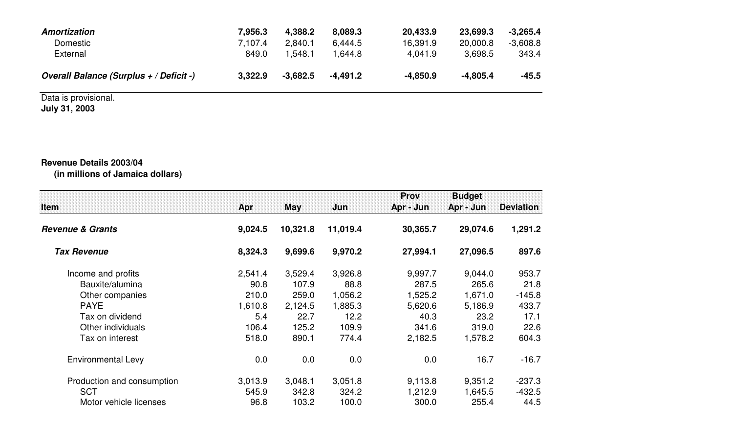| Amortization                            | 7,956.3 | 4.388.2    | 8.089.3  | 20,433.9   | 23,699.3   | $-3,265.4$ |
|-----------------------------------------|---------|------------|----------|------------|------------|------------|
| Domestic                                | 7.107.4 | 2,840.1    | 6,444.5  | 16,391.9   | 20,000.8   | $-3,608.8$ |
| External                                | 849.0   | ∫.548.     | .644.8 ا | 4.041.9    | 3.698.5    | 343.4      |
| Overall Balance (Surplus + / Deficit -) | 3,322.9 | $-3.682.5$ | -4.491.2 | $-4,850.9$ | $-4.805.4$ | $-45.5$    |

## Data is provisional. **July 31, 2003**

## **Revenue Details 2003/04(in millions of Jamaica dollars)**

| <b>Item</b>                 | Apr     | May      | Jun      | Prov<br>Apr - Jun | <b>Budget</b><br>Apr - Jun | <b>Deviation</b> |
|-----------------------------|---------|----------|----------|-------------------|----------------------------|------------------|
| <b>Revenue &amp; Grants</b> | 9,024.5 | 10,321.8 | 11,019.4 | 30,365.7          | 29,074.6                   | 1,291.2          |
| <b>Tax Revenue</b>          | 8,324.3 | 9,699.6  | 9,970.2  | 27,994.1          | 27,096.5                   | 897.6            |
| Income and profits          | 2,541.4 | 3,529.4  | 3,926.8  | 9,997.7           | 9,044.0                    | 953.7            |
| Bauxite/alumina             | 90.8    | 107.9    | 88.8     | 287.5             | 265.6                      | 21.8             |
| Other companies             | 210.0   | 259.0    | 1,056.2  | 1,525.2           | 1,671.0                    | $-145.8$         |
| <b>PAYE</b>                 | 1,610.8 | 2,124.5  | 1,885.3  | 5,620.6           | 5,186.9                    | 433.7            |
| Tax on dividend             | 5.4     | 22.7     | 12.2     | 40.3              | 23.2                       | 17.1             |
| Other individuals           | 106.4   | 125.2    | 109.9    | 341.6             | 319.0                      | 22.6             |
| Tax on interest             | 518.0   | 890.1    | 774.4    | 2,182.5           | 1,578.2                    | 604.3            |
| <b>Environmental Levy</b>   | 0.0     | 0.0      | 0.0      | 0.0               | 16.7                       | $-16.7$          |
| Production and consumption  | 3,013.9 | 3,048.1  | 3,051.8  | 9,113.8           | 9,351.2                    | $-237.3$         |
| <b>SCT</b>                  | 545.9   | 342.8    | 324.2    | 1,212.9           | 1,645.5                    | $-432.5$         |
| Motor vehicle licenses      | 96.8    | 103.2    | 100.0    | 300.0             | 255.4                      | 44.5             |